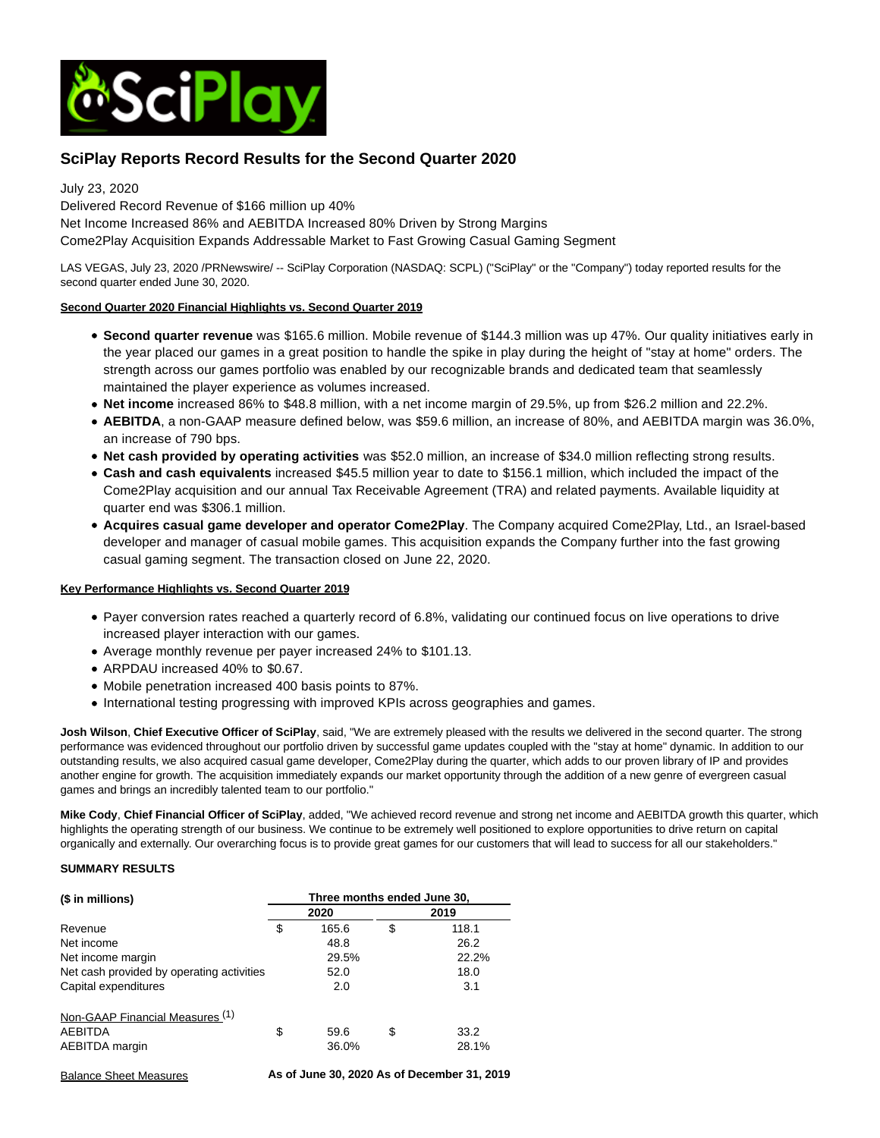

# **SciPlay Reports Record Results for the Second Quarter 2020**

July 23, 2020 Delivered Record Revenue of \$166 million up 40% Net Income Increased 86% and AEBITDA Increased 80% Driven by Strong Margins Come2Play Acquisition Expands Addressable Market to Fast Growing Casual Gaming Segment

LAS VEGAS, July 23, 2020 /PRNewswire/ -- SciPlay Corporation (NASDAQ: SCPL) ("SciPlay" or the "Company") today reported results for the second quarter ended June 30, 2020.

## **Second Quarter 2020 Financial Highlights vs. Second Quarter 2019**

- **Second quarter revenue** was \$165.6 million. Mobile revenue of \$144.3 million was up 47%. Our quality initiatives early in the year placed our games in a great position to handle the spike in play during the height of "stay at home" orders. The strength across our games portfolio was enabled by our recognizable brands and dedicated team that seamlessly maintained the player experience as volumes increased.
- **Net income** increased 86% to \$48.8 million, with a net income margin of 29.5%, up from \$26.2 million and 22.2%.
- **AEBITDA**, a non-GAAP measure defined below, was \$59.6 million, an increase of 80%, and AEBITDA margin was 36.0%, an increase of 790 bps.
- **Net cash provided by operating activities** was \$52.0 million, an increase of \$34.0 million reflecting strong results.
- **Cash and cash equivalents** increased \$45.5 million year to date to \$156.1 million, which included the impact of the Come2Play acquisition and our annual Tax Receivable Agreement (TRA) and related payments. Available liquidity at quarter end was \$306.1 million.
- **Acquires casual game developer and operator Come2Play**. The Company acquired Come2Play, Ltd., an Israel-based developer and manager of casual mobile games. This acquisition expands the Company further into the fast growing casual gaming segment. The transaction closed on June 22, 2020.

# **Key Performance Highlights vs. Second Quarter 2019**

- Payer conversion rates reached a quarterly record of 6.8%, validating our continued focus on live operations to drive increased player interaction with our games.
- Average monthly revenue per payer increased 24% to \$101.13.
- ARPDAU increased 40% to \$0.67.
- Mobile penetration increased 400 basis points to 87%.
- International testing progressing with improved KPIs across geographies and games.

**Josh Wilson**, **Chief Executive Officer of SciPlay**, said, "We are extremely pleased with the results we delivered in the second quarter. The strong performance was evidenced throughout our portfolio driven by successful game updates coupled with the "stay at home" dynamic. In addition to our outstanding results, we also acquired casual game developer, Come2Play during the quarter, which adds to our proven library of IP and provides another engine for growth. The acquisition immediately expands our market opportunity through the addition of a new genre of evergreen casual games and brings an incredibly talented team to our portfolio."

**Mike Cody**, **Chief Financial Officer of SciPlay**, added, "We achieved record revenue and strong net income and AEBITDA growth this quarter, which highlights the operating strength of our business. We continue to be extremely well positioned to explore opportunities to drive return on capital organically and externally. Our overarching focus is to provide great games for our customers that will lead to success for all our stakeholders."

#### **SUMMARY RESULTS**

| (\$ in millions)                          | Three months ended June 30, |       |    |       |  |  |  |  |
|-------------------------------------------|-----------------------------|-------|----|-------|--|--|--|--|
|                                           |                             | 2020  |    | 2019  |  |  |  |  |
| Revenue                                   | \$                          | 165.6 | \$ | 118.1 |  |  |  |  |
| Net income                                |                             | 48.8  |    | 26.2  |  |  |  |  |
| Net income margin                         |                             | 29.5% |    | 22.2% |  |  |  |  |
| Net cash provided by operating activities |                             | 52.0  |    | 18.0  |  |  |  |  |
| Capital expenditures                      |                             | 2.0   |    | 3.1   |  |  |  |  |
| Non-GAAP Financial Measures (1)           |                             |       |    |       |  |  |  |  |
| <b>AEBITDA</b>                            | \$                          | 59.6  | \$ | 33.2  |  |  |  |  |
| AEBITDA margin                            |                             | 36.0% |    | 28.1% |  |  |  |  |

Balance Sheet Measures **As of June 30, 2020 As of December 31, 2019**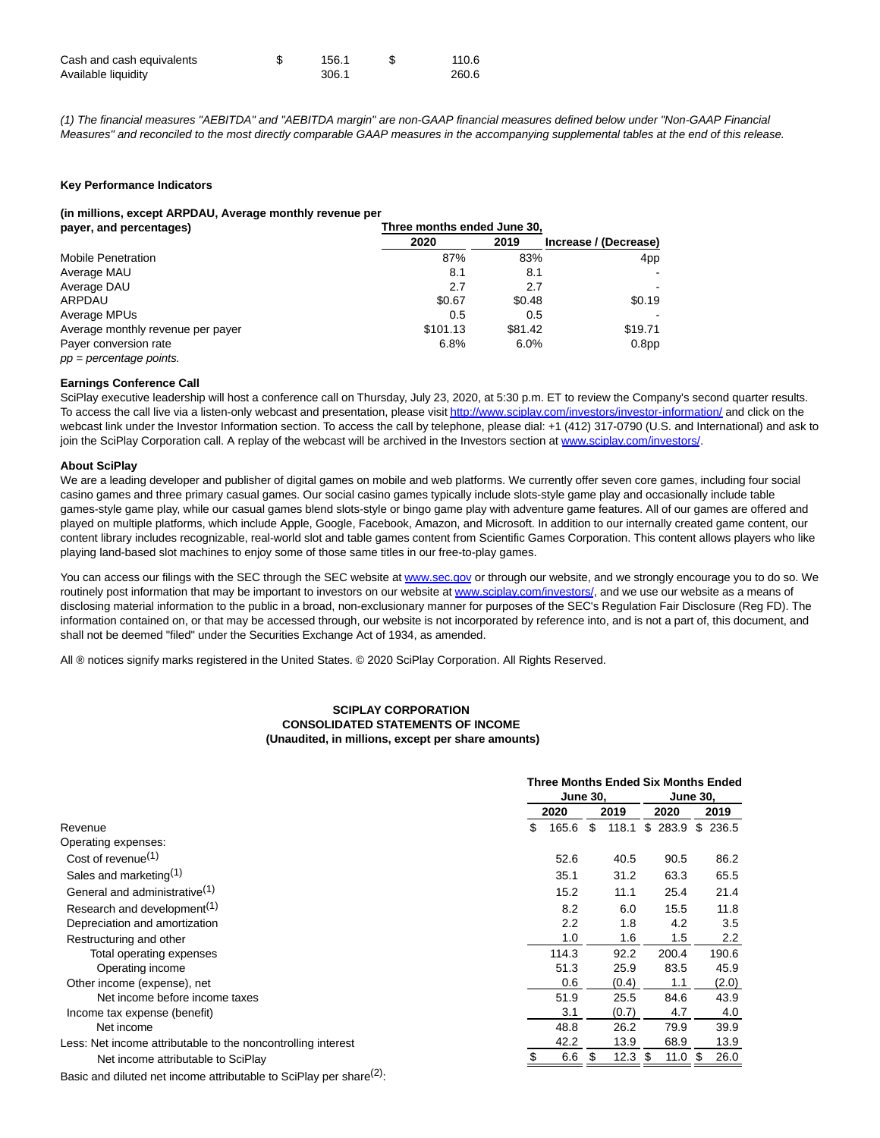| Cash and cash equivalents | 156.1 | 110.6 |
|---------------------------|-------|-------|
| Available liquidity       | 306.1 | 260.6 |

(1) The financial measures "AEBITDA" and "AEBITDA margin" are non-GAAP financial measures defined below under "Non-GAAP Financial Measures" and reconciled to the most directly comparable GAAP measures in the accompanying supplemental tables at the end of this release.

#### **Key Performance Indicators**

#### **(in millions, except ARPDAU, Average monthly revenue per**

| payer, and percentages)           |          | Three months ended June 30, |                       |  |  |  |  |
|-----------------------------------|----------|-----------------------------|-----------------------|--|--|--|--|
|                                   | 2020     | 2019                        | Increase / (Decrease) |  |  |  |  |
| <b>Mobile Penetration</b>         | 87%      | 83%                         | 4pp                   |  |  |  |  |
| Average MAU                       | 8.1      | 8.1                         |                       |  |  |  |  |
| Average DAU                       | 2.7      | 2.7                         |                       |  |  |  |  |
| ARPDAU                            | \$0.67   | \$0.48                      | \$0.19                |  |  |  |  |
| Average MPUs                      | 0.5      | 0.5                         |                       |  |  |  |  |
| Average monthly revenue per payer | \$101.13 | \$81.42                     | \$19.71               |  |  |  |  |
| Payer conversion rate             | 6.8%     | 6.0%                        | 0.8 <sub>pp</sub>     |  |  |  |  |
| $pp = percentage points$ .        |          |                             |                       |  |  |  |  |

#### **Earnings Conference Call**

SciPlay executive leadership will host a conference call on Thursday, July 23, 2020, at 5:30 p.m. ET to review the Company's second quarter results. To access the call live via a listen-only webcast and presentation, please visi[t http://www.sciplay.com/investors/investor-information/ a](https://c212.net/c/link/?t=0&l=en&o=2866197-1&h=3507859543&u=http%3A%2F%2Fwww.sciplay.com%2Finvestors%2Finvestor-information%2F&a=http%3A%2F%2Fwww.sciplay.com%2Finvestors%2Finvestor-information%2F)nd click on the webcast link under the Investor Information section. To access the call by telephone, please dial: +1 (412) 317-0790 (U.S. and International) and ask to join the SciPlay Corporation call. A replay of the webcast will be archived in the Investors section at [www.sciplay.com/investors/.](https://c212.net/c/link/?t=0&l=en&o=2866197-1&h=1634296293&u=https%3A%2F%2Fnam02.safelinks.protection.outlook.com%2F%3Furl%3Dhttps%253A%252F%252Fwww.sciplay.com%252Finvestors%252F%26data%3D02%257C01%257CRobert.Shore%2540scientificgames.com%257C5d21164c41dc4d45174908d7eb0771ff%257Cb9d2c79d8655430e8cbbd458178fd6b8%257C0%257C0%257C637236289513397330%26sdata%3DDlRQV3tj8182DqaKDQf0as%252FHYIYXQY8hYUuI78gQ%252F2A%253D%26reserved%3D0&a=www.sciplay.com%2Finvestors%2F)

#### **About SciPlay**

We are a leading developer and publisher of digital games on mobile and web platforms. We currently offer seven core games, including four social casino games and three primary casual games. Our social casino games typically include slots-style game play and occasionally include table games-style game play, while our casual games blend slots-style or bingo game play with adventure game features. All of our games are offered and played on multiple platforms, which include Apple, Google, Facebook, Amazon, and Microsoft. In addition to our internally created game content, our content library includes recognizable, real-world slot and table games content from Scientific Games Corporation. This content allows players who like playing land-based slot machines to enjoy some of those same titles in our free-to-play games.

You can access our filings with the SEC through the SEC website at [www.sec.gov o](http://www.sec.gov/)r through our website, and we strongly encourage you to do so. We routinely post information that may be important to investors on our website at [www.sciplay.com/investors/,](https://c212.net/c/link/?t=0&l=en&o=2866197-1&h=1501750897&u=http%3A%2F%2Fwww.sciplay.com%2Finvestors%2F&a=www.sciplay.com%2Finvestors%2F) and we use our website as a means of disclosing material information to the public in a broad, non-exclusionary manner for purposes of the SEC's Regulation Fair Disclosure (Reg FD). The information contained on, or that may be accessed through, our website is not incorporated by reference into, and is not a part of, this document, and shall not be deemed "filed" under the Securities Exchange Act of 1934, as amended.

All ® notices signify marks registered in the United States. © 2020 SciPlay Corporation. All Rights Reserved.

### **SCIPLAY CORPORATION CONSOLIDATED STATEMENTS OF INCOME (Unaudited, in millions, except per share amounts)**

|                                                                                 | <b>Three Months Ended Six Months Ended</b> |    |          |          |      |                  |  |
|---------------------------------------------------------------------------------|--------------------------------------------|----|----------|----------|------|------------------|--|
|                                                                                 | <b>June 30,</b>                            |    |          |          |      | <b>June 30,</b>  |  |
|                                                                                 | 2020                                       |    | 2019     | 2020     | 2019 |                  |  |
| Revenue                                                                         | \$<br>165.6                                | \$ | 118.1    | \$283.9  |      | \$236.5          |  |
| Operating expenses:                                                             |                                            |    |          |          |      |                  |  |
| Cost of revenue <sup>(1)</sup>                                                  | 52.6                                       |    | 40.5     | 90.5     |      | 86.2             |  |
| Sales and marketing <sup>(1)</sup>                                              | 35.1                                       |    | 31.2     | 63.3     |      | 65.5             |  |
| General and administrative <sup>(1)</sup>                                       | 15.2                                       |    | 11.1     | 25.4     |      | 21.4             |  |
| Research and development <sup>(1)</sup>                                         | 8.2                                        |    | 6.0      | 15.5     |      | 11.8             |  |
| Depreciation and amortization                                                   | 2.2                                        |    | 1.8      | 4.2      |      | 3.5              |  |
| Restructuring and other                                                         | 1.0                                        |    | 1.6      | 1.5      |      | $2.2\phantom{0}$ |  |
| Total operating expenses                                                        | 114.3                                      |    | 92.2     | 200.4    |      | 190.6            |  |
| Operating income                                                                | 51.3                                       |    | 25.9     | 83.5     |      | 45.9             |  |
| Other income (expense), net                                                     | 0.6                                        |    | (0.4)    | 1.1      |      | (2.0)            |  |
| Net income before income taxes                                                  | 51.9                                       |    | 25.5     | 84.6     |      | 43.9             |  |
| Income tax expense (benefit)                                                    | 3.1                                        |    | (0.7)    | 4.7      |      | 4.0              |  |
| Net income                                                                      | 48.8                                       |    | 26.2     | 79.9     |      | 39.9             |  |
| Less: Net income attributable to the noncontrolling interest                    | 42.2                                       |    | 13.9     | 68.9     |      | 13.9             |  |
| Net income attributable to SciPlay                                              | 6.6                                        | \$ | 12.3 $$$ | 11.0 $$$ |      | 26.0             |  |
| Basic and diluted net income attributable to SciPlay per share <sup>(2)</sup> : |                                            |    |          |          |      |                  |  |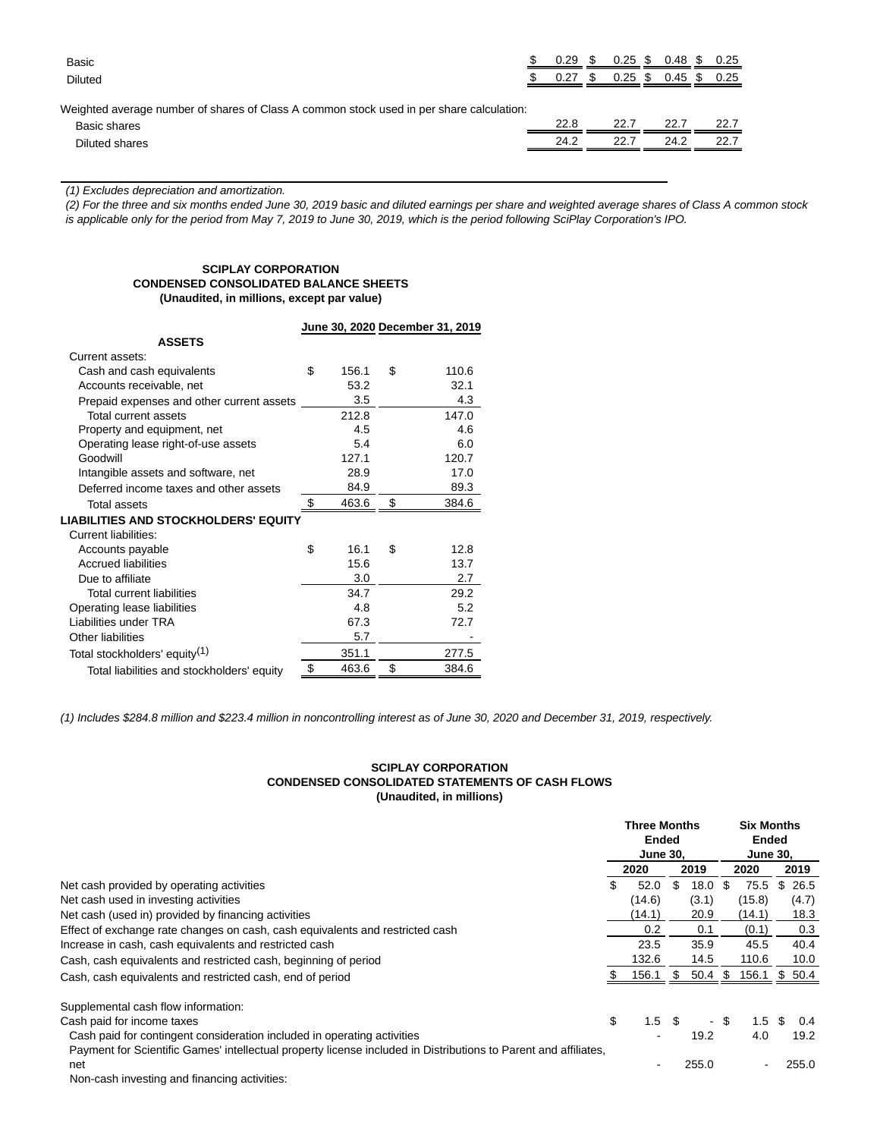| Basic                                                                                                    | 0.29 | $0.25$ \$ | $0.48 \text{ } $$ | 0.25 |
|----------------------------------------------------------------------------------------------------------|------|-----------|-------------------|------|
| <b>Diluted</b>                                                                                           | 0.27 | $0.25$ \$ | 0.45              | 0.25 |
| Weighted average number of shares of Class A common stock used in per share calculation:<br>Basic shares | 22.8 | 22.7      | 22.7              | 22.7 |
| Diluted shares                                                                                           | 24.2 | 22.7      | 24.2              | 22.7 |
|                                                                                                          |      |           |                   |      |

(1) Excludes depreciation and amortization.

(2) For the three and six months ended June 30, 2019 basic and diluted earnings per share and weighted average shares of Class A common stock is applicable only for the period from May 7, 2019 to June 30, 2019, which is the period following SciPlay Corporation's IPO.

### **SCIPLAY CORPORATION CONDENSED CONSOLIDATED BALANCE SHEETS (Unaudited, in millions, except par value)**

|                                             |             | June 30, 2020 December 31, 2019 |
|---------------------------------------------|-------------|---------------------------------|
| <b>ASSETS</b>                               |             |                                 |
| Current assets:                             |             |                                 |
| Cash and cash equivalents                   | \$<br>156.1 | \$<br>110.6                     |
| Accounts receivable, net                    | 53.2        | 32.1                            |
| Prepaid expenses and other current assets   | 3.5         | 4.3                             |
| Total current assets                        | 212.8       | 147.0                           |
| Property and equipment, net                 | 4.5         | 4.6                             |
| Operating lease right-of-use assets         | 5.4         | 6.0                             |
| Goodwill                                    | 127.1       | 120.7                           |
| Intangible assets and software, net         | 28.9        | 17.0                            |
| Deferred income taxes and other assets      | 84.9        | 89.3                            |
| Total assets                                | \$<br>463.6 | \$<br>384.6                     |
| <b>LIABILITIES AND STOCKHOLDERS' EQUITY</b> |             |                                 |
| Current liabilities:                        |             |                                 |
| Accounts payable                            | \$<br>16.1  | \$<br>12.8                      |
| <b>Accrued liabilities</b>                  | 15.6        | 13.7                            |
| Due to affiliate                            | 3.0         | 2.7                             |
| <b>Total current liabilities</b>            | 34.7        | 29.2                            |
| Operating lease liabilities                 | 4.8         | 5.2                             |
| Liabilities under TRA                       | 67.3        | 72.7                            |
| <b>Other liabilities</b>                    | 5.7         |                                 |
| Total stockholders' equity <sup>(1)</sup>   | 351.1       | 277.5                           |
| Total liabilities and stockholders' equity  | \$<br>463.6 | \$<br>384.6                     |

(1) Includes \$284.8 million and \$223.4 million in noncontrolling interest as of June 30, 2020 and December 31, 2019, respectively.

### **SCIPLAY CORPORATION CONDENSED CONSOLIDATED STATEMENTS OF CASH FLOWS (Unaudited, in millions)**

|                                                                                                                 | <b>Three Months</b><br>Ended<br><b>June 30.</b> |     |                   | <b>Six Months</b><br>Ended<br><b>June 30,</b> |        |    |        |
|-----------------------------------------------------------------------------------------------------------------|-------------------------------------------------|-----|-------------------|-----------------------------------------------|--------|----|--------|
|                                                                                                                 | 2020                                            |     | 2019              |                                               | 2020   |    | 2019   |
| Net cash provided by operating activities                                                                       | \$<br>52.0                                      | S   | 18.0              | \$.                                           | 75.5   | \$ | 26.5   |
| Net cash used in investing activities                                                                           | (14.6)                                          |     | (3.1)             |                                               | (15.8) |    | (4.7)  |
| Net cash (used in) provided by financing activities                                                             | (14.1)                                          |     | 20.9              |                                               | (14.1) |    | 18.3   |
| Effect of exchange rate changes on cash, cash equivalents and restricted cash                                   | 0.2                                             |     | 0.1               |                                               | (0.1)  |    | 0.3    |
| Increase in cash, cash equivalents and restricted cash                                                          | 23.5                                            |     | 35.9              |                                               | 45.5   |    | 40.4   |
| Cash, cash equivalents and restricted cash, beginning of period                                                 | 132.6                                           |     | 14.5              |                                               | 110.6  |    | 10.0   |
| Cash, cash equivalents and restricted cash, end of period                                                       | 156.1                                           | \$. | $50.4 \text{ } $$ |                                               | 156.1  |    | \$50.4 |
| Supplemental cash flow information:                                                                             |                                                 |     |                   |                                               |        |    |        |
| Cash paid for income taxes                                                                                      | \$<br>1.5 <sup>5</sup>                          |     | $\sim$            |                                               | 1.5    | \$ | 0.4    |
| Cash paid for contingent consideration included in operating activities                                         |                                                 |     | 19.2              |                                               | 4.0    |    | 19.2   |
| Payment for Scientific Games' intellectual property license included in Distributions to Parent and affiliates, |                                                 |     |                   |                                               |        |    |        |
| net                                                                                                             |                                                 |     | 255.0             |                                               |        |    | 255.0  |
| Non-cash investing and financing activities:                                                                    |                                                 |     |                   |                                               |        |    |        |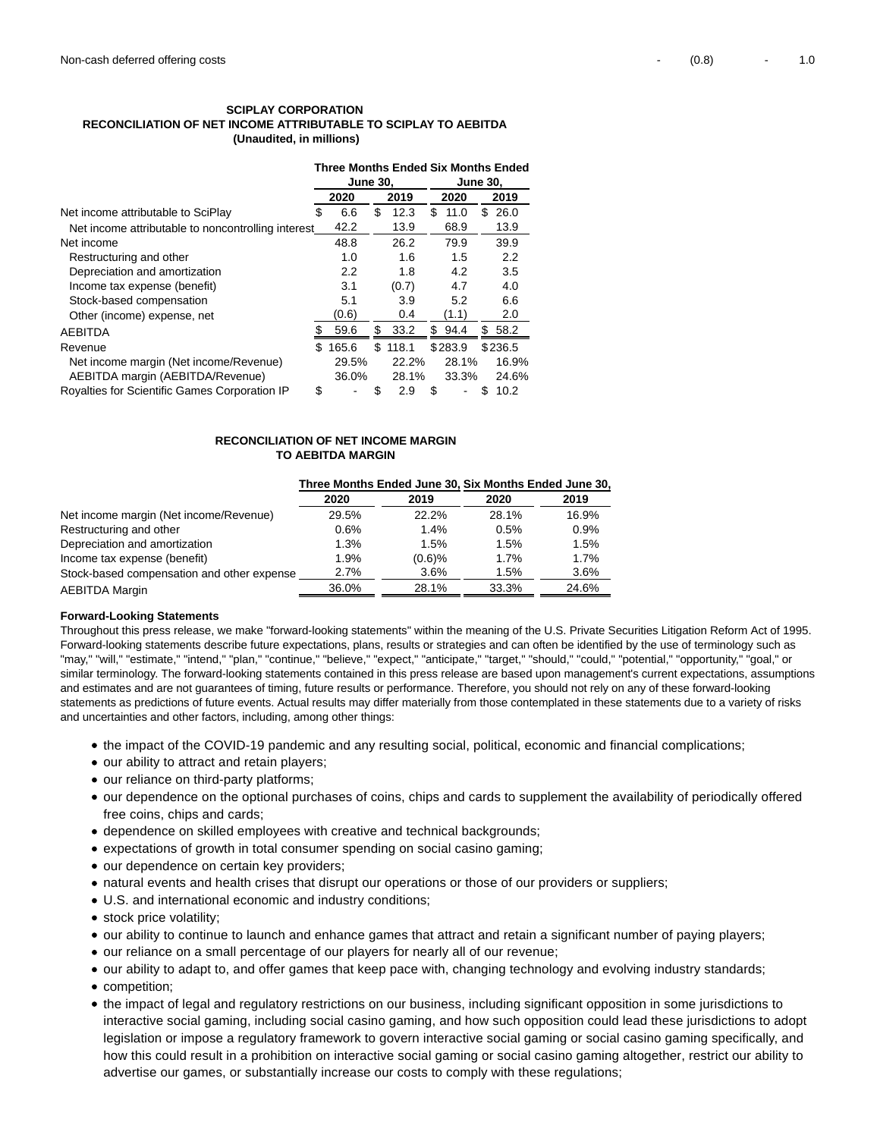## **SCIPLAY CORPORATION RECONCILIATION OF NET INCOME ATTRIBUTABLE TO SCIPLAY TO AEBITDA (Unaudited, in millions)**

|                                                    | <b>Three Months Ended Six Months Ended</b> |       |    |       |     |                 |    |         |  |  |
|----------------------------------------------------|--------------------------------------------|-------|----|-------|-----|-----------------|----|---------|--|--|
|                                                    | <b>June 30.</b>                            |       |    |       |     | <b>June 30.</b> |    |         |  |  |
|                                                    |                                            | 2020  |    | 2019  |     | 2020            |    | 2019    |  |  |
| Net income attributable to SciPlay                 | S                                          | 6.6   | \$ | 12.3  | \$. | 11.0            | \$ | 26.0    |  |  |
| Net income attributable to noncontrolling interest |                                            | 42.2  |    | 13.9  |     | 68.9            |    | 13.9    |  |  |
| Net income                                         |                                            | 48.8  |    | 26.2  |     | 79.9            |    | 39.9    |  |  |
| Restructuring and other                            |                                            | 1.0   |    | 1.6   |     | 1.5             |    | 2.2     |  |  |
| Depreciation and amortization                      |                                            | 2.2   |    | 1.8   |     | 4.2             |    | 3.5     |  |  |
| Income tax expense (benefit)                       |                                            | 3.1   |    | (0.7) |     | 4.7             |    | 4.0     |  |  |
| Stock-based compensation                           |                                            | 5.1   |    | 3.9   |     | 5.2             |    | 6.6     |  |  |
| Other (income) expense, net                        |                                            | (0.6) |    | 0.4   |     | (1.1)           |    | 2.0     |  |  |
| <b>AEBITDA</b>                                     |                                            | 59.6  | \$ | 33.2  | \$  | 94.4            | \$ | 58.2    |  |  |
| Revenue                                            | \$.                                        | 165.6 | \$ | 118.1 |     | \$283.9         |    | \$236.5 |  |  |
| Net income margin (Net income/Revenue)             |                                            | 29.5% |    | 22.2% |     | 28.1%           |    | 16.9%   |  |  |
| AEBITDA margin (AEBITDA/Revenue)                   |                                            | 36.0% |    | 28.1% |     | 33.3%           |    | 24.6%   |  |  |
| Royalties for Scientific Games Corporation IP      | \$                                         |       | \$ | 2.9   | \$  |                 | \$ | 10.2    |  |  |

## **RECONCILIATION OF NET INCOME MARGIN TO AEBITDA MARGIN**

#### **Three Months Ended June 30, Six Months Ended June 30, 2020 2019 2020 2019** Net income margin (Net income/Revenue) 29.5% 22.2% 28.1% 16.9% Restructuring and other  $0.6\%$  1.4% 0.5% 0.9% 0.9%<br>
Depreciation and amortization  $1.3\%$  1.5% 1.5% 1.5% 1.5% Depreciation and amortization Income tax expense (benefit) 1.9% (0.6)% 1.7% 1.7% Stock-based compensation and other expense 2.7% 3.6% 1.5% 3.6% AEBITDA Margin 28.0% 28.1% 36.0% 33.3% 24.6%

#### **Forward-Looking Statements**

Throughout this press release, we make "forward-looking statements" within the meaning of the U.S. Private Securities Litigation Reform Act of 1995. Forward-looking statements describe future expectations, plans, results or strategies and can often be identified by the use of terminology such as "may," "will," "estimate," "intend," "plan," "continue," "believe," "expect," "anticipate," "target," "should," "could," "potential," "opportunity," "goal," or similar terminology. The forward-looking statements contained in this press release are based upon management's current expectations, assumptions and estimates and are not guarantees of timing, future results or performance. Therefore, you should not rely on any of these forward-looking statements as predictions of future events. Actual results may differ materially from those contemplated in these statements due to a variety of risks and uncertainties and other factors, including, among other things:

- the impact of the COVID-19 pandemic and any resulting social, political, economic and financial complications;
- our ability to attract and retain players;
- our reliance on third-party platforms;
- our dependence on the optional purchases of coins, chips and cards to supplement the availability of periodically offered free coins, chips and cards;
- dependence on skilled employees with creative and technical backgrounds;
- expectations of growth in total consumer spending on social casino gaming;
- our dependence on certain key providers;
- natural events and health crises that disrupt our operations or those of our providers or suppliers;
- U.S. and international economic and industry conditions;
- stock price volatility;
- our ability to continue to launch and enhance games that attract and retain a significant number of paying players;
- our reliance on a small percentage of our players for nearly all of our revenue;
- our ability to adapt to, and offer games that keep pace with, changing technology and evolving industry standards;
- competition;
- the impact of legal and regulatory restrictions on our business, including significant opposition in some jurisdictions to interactive social gaming, including social casino gaming, and how such opposition could lead these jurisdictions to adopt legislation or impose a regulatory framework to govern interactive social gaming or social casino gaming specifically, and how this could result in a prohibition on interactive social gaming or social casino gaming altogether, restrict our ability to advertise our games, or substantially increase our costs to comply with these regulations;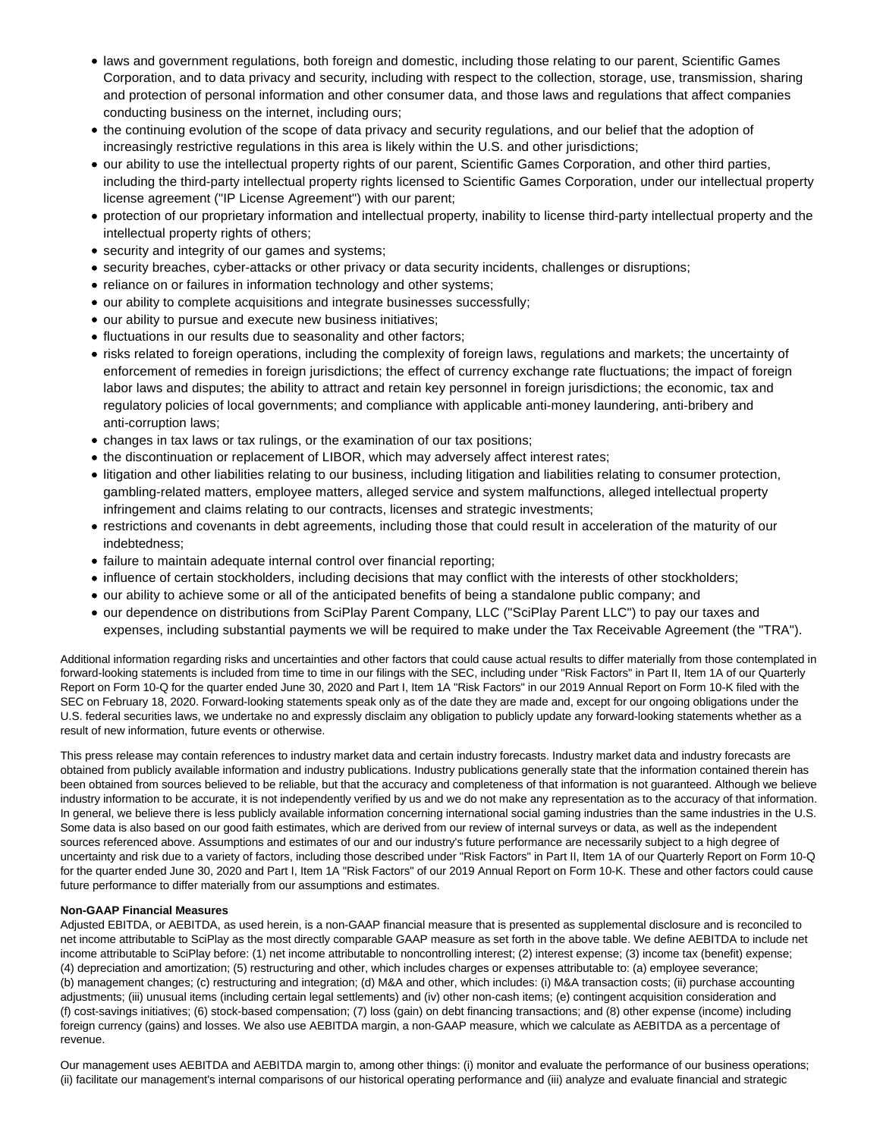- laws and government regulations, both foreign and domestic, including those relating to our parent, Scientific Games Corporation, and to data privacy and security, including with respect to the collection, storage, use, transmission, sharing and protection of personal information and other consumer data, and those laws and regulations that affect companies conducting business on the internet, including ours;
- the continuing evolution of the scope of data privacy and security regulations, and our belief that the adoption of increasingly restrictive regulations in this area is likely within the U.S. and other jurisdictions;
- our ability to use the intellectual property rights of our parent, Scientific Games Corporation, and other third parties, including the third-party intellectual property rights licensed to Scientific Games Corporation, under our intellectual property license agreement ("IP License Agreement") with our parent;
- protection of our proprietary information and intellectual property, inability to license third-party intellectual property and the intellectual property rights of others;
- security and integrity of our games and systems;
- security breaches, cyber-attacks or other privacy or data security incidents, challenges or disruptions;
- reliance on or failures in information technology and other systems;
- our ability to complete acquisitions and integrate businesses successfully;
- our ability to pursue and execute new business initiatives;
- fluctuations in our results due to seasonality and other factors;
- risks related to foreign operations, including the complexity of foreign laws, regulations and markets; the uncertainty of enforcement of remedies in foreign jurisdictions; the effect of currency exchange rate fluctuations; the impact of foreign labor laws and disputes; the ability to attract and retain key personnel in foreign jurisdictions; the economic, tax and regulatory policies of local governments; and compliance with applicable anti-money laundering, anti-bribery and anti-corruption laws;
- changes in tax laws or tax rulings, or the examination of our tax positions;
- the discontinuation or replacement of LIBOR, which may adversely affect interest rates;
- litigation and other liabilities relating to our business, including litigation and liabilities relating to consumer protection, gambling-related matters, employee matters, alleged service and system malfunctions, alleged intellectual property infringement and claims relating to our contracts, licenses and strategic investments;
- restrictions and covenants in debt agreements, including those that could result in acceleration of the maturity of our indebtedness;
- failure to maintain adequate internal control over financial reporting;
- influence of certain stockholders, including decisions that may conflict with the interests of other stockholders;
- our ability to achieve some or all of the anticipated benefits of being a standalone public company; and
- our dependence on distributions from SciPlay Parent Company, LLC ("SciPlay Parent LLC") to pay our taxes and expenses, including substantial payments we will be required to make under the Tax Receivable Agreement (the "TRA").

Additional information regarding risks and uncertainties and other factors that could cause actual results to differ materially from those contemplated in forward-looking statements is included from time to time in our filings with the SEC, including under "Risk Factors" in Part II, Item 1A of our Quarterly Report on Form 10-Q for the quarter ended June 30, 2020 and Part I, Item 1A "Risk Factors" in our 2019 Annual Report on Form 10-K filed with the SEC on February 18, 2020. Forward-looking statements speak only as of the date they are made and, except for our ongoing obligations under the U.S. federal securities laws, we undertake no and expressly disclaim any obligation to publicly update any forward-looking statements whether as a result of new information, future events or otherwise.

This press release may contain references to industry market data and certain industry forecasts. Industry market data and industry forecasts are obtained from publicly available information and industry publications. Industry publications generally state that the information contained therein has been obtained from sources believed to be reliable, but that the accuracy and completeness of that information is not guaranteed. Although we believe industry information to be accurate, it is not independently verified by us and we do not make any representation as to the accuracy of that information. In general, we believe there is less publicly available information concerning international social gaming industries than the same industries in the U.S. Some data is also based on our good faith estimates, which are derived from our review of internal surveys or data, as well as the independent sources referenced above. Assumptions and estimates of our and our industry's future performance are necessarily subject to a high degree of uncertainty and risk due to a variety of factors, including those described under "Risk Factors" in Part II, Item 1A of our Quarterly Report on Form 10-Q for the quarter ended June 30, 2020 and Part I, Item 1A "Risk Factors" of our 2019 Annual Report on Form 10-K. These and other factors could cause future performance to differ materially from our assumptions and estimates.

#### **Non-GAAP Financial Measures**

Adjusted EBITDA, or AEBITDA, as used herein, is a non-GAAP financial measure that is presented as supplemental disclosure and is reconciled to net income attributable to SciPlay as the most directly comparable GAAP measure as set forth in the above table. We define AEBITDA to include net income attributable to SciPlay before: (1) net income attributable to noncontrolling interest; (2) interest expense; (3) income tax (benefit) expense; (4) depreciation and amortization; (5) restructuring and other, which includes charges or expenses attributable to: (a) employee severance; (b) management changes; (c) restructuring and integration; (d) M&A and other, which includes: (i) M&A transaction costs; (ii) purchase accounting adjustments; (iii) unusual items (including certain legal settlements) and (iv) other non-cash items; (e) contingent acquisition consideration and (f) cost-savings initiatives; (6) stock-based compensation; (7) loss (gain) on debt financing transactions; and (8) other expense (income) including foreign currency (gains) and losses. We also use AEBITDA margin, a non-GAAP measure, which we calculate as AEBITDA as a percentage of revenue.

Our management uses AEBITDA and AEBITDA margin to, among other things: (i) monitor and evaluate the performance of our business operations; (ii) facilitate our management's internal comparisons of our historical operating performance and (iii) analyze and evaluate financial and strategic